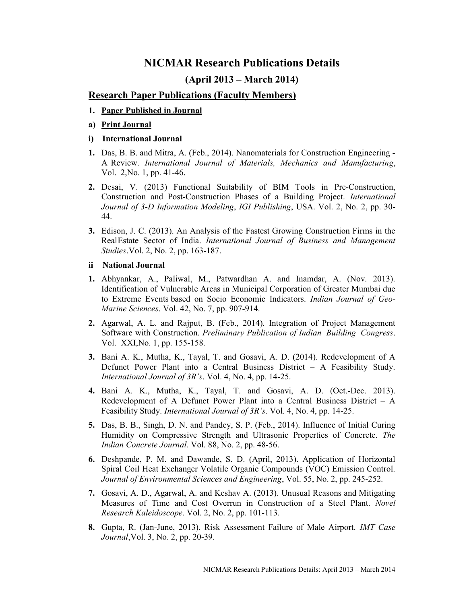# NICMAR Research Publications Details

# (April 2013 – March 2014)

### Research Paper Publications (Faculty Members)

- 1. Paper Published in Journal
- a) Print Journal
- i) International Journal
- 1. Das, B. B. and Mitra, A. (Feb., 2014). Nanomaterials for Construction Engineering A Review. International Journal of Materials, Mechanics and Manufacturing, Vol. 2, No. 1, pp. 41-46.
- 2. Desai, V. (2013) Functional Suitability of BIM Tools in Pre-Construction, Construction and Post-Construction Phases of a Building Project. International Journal of 3-D Information Modeling, IGI Publishing, USA. Vol. 2, No. 2, pp. 30- 44.
- 3. Edison, J. C. (2013). An Analysis of the Fastest Growing Construction Firms in the Real Estate Sector of India. International Journal of Business and Management Studies. Vol. 2, No. 2, pp. 163-187.

#### ii National Journal

- 1. Abhyankar, A., Paliwal, M., Patwardhan A. and Inamdar, A. (Nov. 2013). Identification of Vulnerable Areas in Municipal Corporation of Greater Mumbai due to Extreme Events based on Socio Economic Indicators. Indian Journal of Geo-Marine Sciences. Vol. 42, No. 7, pp. 907-914.
- 2. Agarwal, A. L. and Rajput, B. (Feb., 2014). Integration of Project Management Software with Construction. Preliminary Publication of Indian Building Congress. Vol. XXI, No. 1, pp. 155-158.
- 3. Bani A. K., Mutha, K., Tayal, T. and Gosavi, A. D. (2014). Redevelopment of A Defunct Power Plant into a Central Business District – A Feasibility Study. International Journal of 3R's. Vol. 4, No. 4, pp. 14-25.
- 4. Bani A. K., Mutha, K., Tayal, T. and Gosavi, A. D. (Oct.-Dec. 2013). Redevelopment of A Defunct Power Plant into a Central Business District – A Feasibility Study. International Journal of 3R's. Vol. 4, No. 4, pp. 14-25.
- 5. Das, B. B., Singh, D. N. and Pandey, S. P. (Feb., 2014). Influence of Initial Curing Humidity on Compressive Strength and Ultrasonic Properties of Concrete. The Indian Concrete Journal. Vol. 88, No. 2, pp. 48-56.
- 6. Deshpande, P. M. and Dawande, S. D. (April, 2013). Application of Horizontal Spiral Coil Heat Exchanger Volatile Organic Compounds (VOC) Emission Control. Journal of Environmental Sciences and Engineering, Vol. 55, No. 2, pp. 245-252.
- 7. Gosavi, A. D., Agarwal, A. and Keshav A. (2013). Unusual Reasons and Mitigating Measures of Time and Cost Overrun in Construction of a Steel Plant. Novel Research Kaleidoscope. Vol. 2, No. 2, pp. 101-113.
- 8. Gupta, R. (Jan-June, 2013). Risk Assessment Failure of Male Airport. IMT Case Journal, Vol. 3, No. 2, pp. 20-39.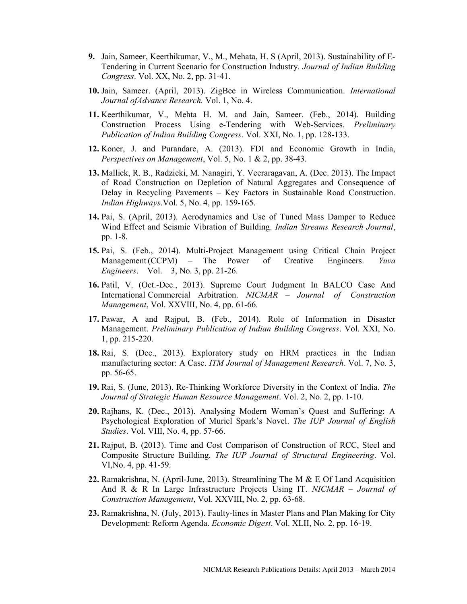- 9. Jain, Sameer, Keerthikumar, V., M., Mehata, H. S (April, 2013). Sustainability of E-Tendering in Current Scenario for Construction Industry. Journal of Indian Building Congress. Vol. XX, No. 2, pp. 31-41.
- 10. Jain, Sameer. (April, 2013). ZigBee in Wireless Communication. International Journal of Advance Research. Vol. 1, No. 4.
- 11. Keerthikumar, V., Mehta H. M. and Jain, Sameer. (Feb., 2014). Building Construction Process Using e-Tendering with Web-Services. Preliminary Publication of Indian Building Congress. Vol. XXI, No. 1, pp. 128-133.
- 12. Koner, J. and Purandare, A. (2013). FDI and Economic Growth in India, Perspectives on Management, Vol. 5, No. 1 & 2, pp. 38-43.
- 13. Mallick, R. B., Radzicki, M. Nanagiri, Y. Veeraragavan, A. (Dec. 2013). The Impact of Road Construction on Depletion of Natural Aggregates and Consequence of Delay in Recycling Pavements – Key Factors in Sustainable Road Construction. Indian Highways. Vol. 5, No. 4, pp. 159-165.
- 14. Pai, S. (April, 2013). Aerodynamics and Use of Tuned Mass Damper to Reduce Wind Effect and Seismic Vibration of Building. Indian Streams Research Journal, pp. 1-8.
- 15. Pai, S. (Feb., 2014). Multi-Project Management using Critical Chain Project Management (CCPM) – The Power of Creative Engineers. Yuva Engineers. Vol. 3, No. 3, pp. 21-26.
- 16. Patil, V. (Oct.-Dec., 2013). Supreme Court Judgment In BALCO Case And International Commercial Arbitration. NICMAR – Journal of Construction Management, Vol. XXVIII, No. 4, pp. 61-66.
- 17. Pawar, A and Rajput, B. (Feb., 2014). Role of Information in Disaster Management. Preliminary Publication of Indian Building Congress. Vol. XXI, No. 1, pp. 215-220.
- 18. Rai, S. (Dec., 2013). Exploratory study on HRM practices in the Indian manufacturing sector: A Case. ITM Journal of Management Research. Vol. 7, No. 3, pp. 56-65.
- 19. Rai, S. (June, 2013). Re-Thinking Workforce Diversity in the Context of India. The Journal of Strategic Human Resource Management. Vol. 2, No. 2, pp. 1-10.
- 20. Rajhans, K. (Dec., 2013). Analysing Modern Woman's Quest and Suffering: A Psychological Exploration of Muriel Spark's Novel. The IUP Journal of English Studies. Vol. VIII, No. 4, pp. 57-66.
- 21. Rajput, B. (2013). Time and Cost Comparison of Construction of RCC, Steel and Composite Structure Building. The IUP Journal of Structural Engineering. Vol. VI, No. 4, pp. 41-59.
- 22. Ramakrishna, N. (April-June, 2013). Streamlining The M & E Of Land Acquisition And R & R In Large Infrastructure Projects Using IT. NICMAR – Journal of Construction Management, Vol. XXVIII, No. 2, pp. 63-68.
- 23. Ramakrishna, N. (July, 2013). Faulty-lines in Master Plans and Plan Making for City Development: Reform Agenda. Economic Digest. Vol. XLII, No. 2, pp. 16-19.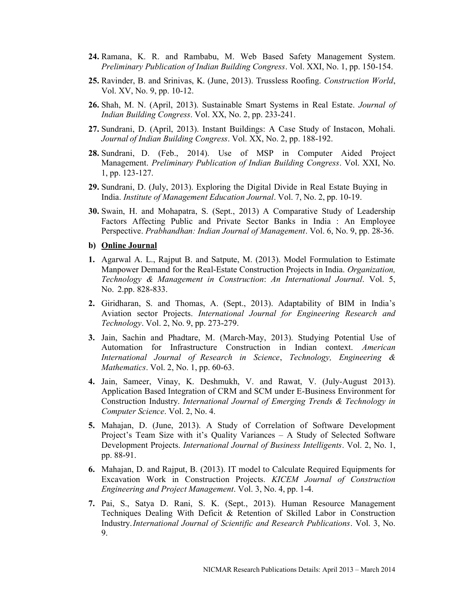- 24. Ramana, K. R. and Rambabu, M. Web Based Safety Management System. Preliminary Publication of Indian Building Congress. Vol. XXI, No. 1, pp. 150-154.
- 25. Ravinder, B. and Srinivas, K. (June, 2013). Trussless Roofing. Construction World, Vol. XV, No. 9, pp. 10-12.
- 26. Shah, M. N. (April, 2013). Sustainable Smart Systems in Real Estate. Journal of Indian Building Congress. Vol. XX, No. 2, pp. 233-241.
- 27. Sundrani, D. (April, 2013). Instant Buildings: A Case Study of Instacon, Mohali. Journal of Indian Building Congress. Vol. XX, No. 2, pp. 188-192.
- 28. Sundrani, D. (Feb., 2014). Use of MSP in Computer Aided Project Management. Preliminary Publication of Indian Building Congress. Vol. XXI, No. 1, pp. 123-127.
- 29. Sundrani, D. (July, 2013). Exploring the Digital Divide in Real Estate Buying in India. Institute of Management Education Journal. Vol. 7, No. 2, pp. 10-19.
- 30. Swain, H. and Mohapatra, S. (Sept., 2013) A Comparative Study of Leadership Factors Affecting Public and Private Sector Banks in India : An Employee Perspective. Prabhandhan: Indian Journal of Management. Vol. 6, No. 9, pp. 28-36.
- b) Online Journal
- 1. Agarwal A. L., Rajput B. and Satpute, M. (2013). Model Formulation to Estimate Manpower Demand for the Real-Estate Construction Projects in India. Organization, Technology & Management in Construction: An International Journal. Vol. 5, No. 2.pp. 828-833.
- 2. Giridharan, S. and Thomas, A. (Sept., 2013). Adaptability of BIM in India's Aviation sector Projects. International Journal for Engineering Research and Technology. Vol. 2, No. 9, pp. 273-279.
- 3. Jain, Sachin and Phadtare, M. (March-May, 2013). Studying Potential Use of Automation for Infrastructure Construction in Indian context. American International Journal of Research in Science, Technology, Engineering & Mathematics. Vol. 2, No. 1, pp. 60-63.
- 4. Jain, Sameer, Vinay, K. Deshmukh, V. and Rawat, V. (July-August 2013). Application Based Integration of CRM and SCM under E-Business Environment for Construction Industry. International Journal of Emerging Trends & Technology in Computer Science. Vol. 2, No. 4.
- 5. Mahajan, D. (June, 2013). A Study of Correlation of Software Development Project's Team Size with it's Quality Variances – A Study of Selected Software Development Projects. International Journal of Business Intelligents. Vol. 2, No. 1, pp. 88-91.
- 6. Mahajan, D. and Rajput, B. (2013). IT model to Calculate Required Equipments for Excavation Work in Construction Projects. KICEM Journal of Construction Engineering and Project Management. Vol. 3, No. 4, pp. 1-4.
- 7. Pai, S., Satya D. Rani, S. K. (Sept., 2013). Human Resource Management Techniques Dealing With Deficit & Retention of Skilled Labor in Construction Industry. International Journal of Scientific and Research Publications. Vol. 3, No. 9.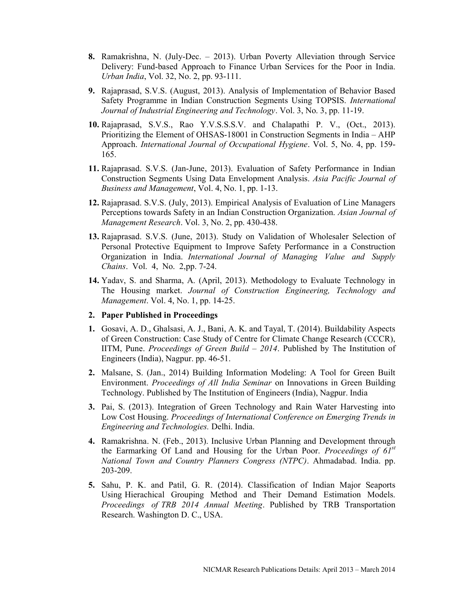- 8. Ramakrishna, N. (July-Dec. 2013). Urban Poverty Alleviation through Service Delivery: Fund-based Approach to Finance Urban Services for the Poor in India. Urban India, Vol. 32, No. 2, pp. 93-111.
- 9. Rajaprasad, S.V.S. (August, 2013). Analysis of Implementation of Behavior Based Safety Programme in Indian Construction Segments Using TOPSIS. International Journal of Industrial Engineering and Technology. Vol. 3, No. 3, pp. 11-19.
- 10. Rajaprasad, S.V.S., Rao Y.V.S.S.S.V. and Chalapathi P. V., (Oct., 2013). Prioritizing the Element of OHSAS-18001 in Construction Segments in India – AHP Approach. International Journal of Occupational Hygiene. Vol. 5, No. 4, pp. 159- 165.
- 11. Rajaprasad. S.V.S. (Jan-June, 2013). Evaluation of Safety Performance in Indian Construction Segments Using Data Envelopment Analysis. Asia Pacific Journal of Business and Management, Vol. 4, No. 1, pp. 1-13.
- 12. Rajaprasad. S.V.S. (July, 2013). Empirical Analysis of Evaluation of Line Managers Perceptions towards Safety in an Indian Construction Organization. Asian Journal of Management Research. Vol. 3, No. 2, pp. 430-438.
- 13. Rajaprasad. S.V.S. (June, 2013). Study on Validation of Wholesaler Selection of Personal Protective Equipment to Improve Safety Performance in a Construction Organization in India. International Journal of Managing Value and Supply Chains. Vol. 4, No. 2, pp. 7-24.
- 14. Yadav, S. and Sharma, A. (April, 2013). Methodology to Evaluate Technology in The Housing market. Journal of Construction Engineering, Technology and Management. Vol. 4, No. 1, pp. 14-25.

## 2. Paper Published in Proceedings

- 1. Gosavi, A. D., Ghalsasi, A. J., Bani, A. K. and Tayal, T. (2014). Buildability Aspects of Green Construction: Case Study of Centre for Climate Change Research (CCCR), IITM, Pune. Proceedings of Green Build  $-2014$ . Published by The Institution of Engineers (India), Nagpur. pp. 46-51.
- 2. Malsane, S. (Jan., 2014) Building Information Modeling: A Tool for Green Built Environment. Proceedings of All India Seminar on Innovations in Green Building Technology. Published by The Institution of Engineers (India), Nagpur. India
- 3. Pai, S. (2013). Integration of Green Technology and Rain Water Harvesting into Low Cost Housing. Proceedings of International Conference on Emerging Trends in Engineering and Technologies. Delhi. India.
- 4. Ramakrishna. N. (Feb., 2013). Inclusive Urban Planning and Development through the Earmarking Of Land and Housing for the Urban Poor. Proceedings of  $6I^{st}$ National Town and Country Planners Congress (NTPC). Ahmadabad. India. pp. 203-209.
- 5. Sahu, P. K. and Patil, G. R. (2014). Classification of Indian Major Seaports Using Hierachical Grouping Method and Their Demand Estimation Models. Proceedings of TRB 2014 Annual Meeting. Published by TRB Transportation Research. Washington D. C., USA.